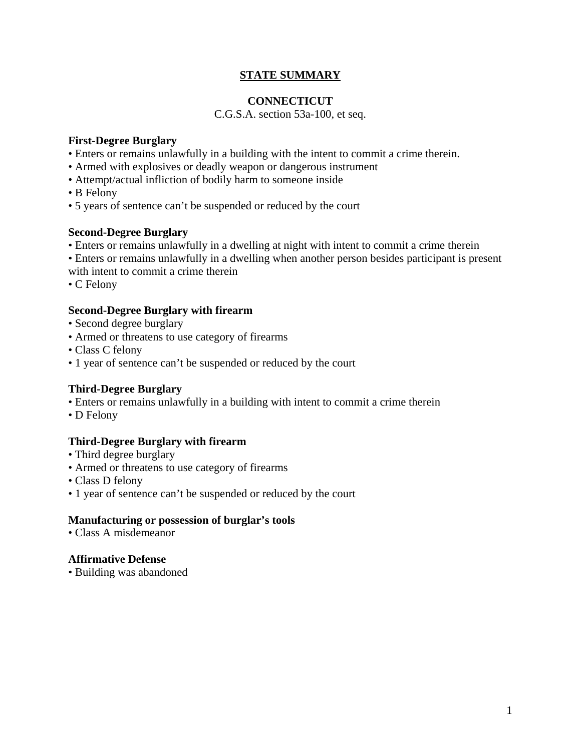# **STATE SUMMARY**

### **CONNECTICUT**

C.G.S.A. section 53a-100, et seq.

## **First-Degree Burglary**

- Enters or remains unlawfully in a building with the intent to commit a crime therein.
- Armed with explosives or deadly weapon or dangerous instrument
- Attempt/actual infliction of bodily harm to someone inside
- B Felony
- 5 years of sentence can't be suspended or reduced by the court

# **Second-Degree Burglary**

- Enters or remains unlawfully in a dwelling at night with intent to commit a crime therein
- Enters or remains unlawfully in a dwelling when another person besides participant is present

with intent to commit a crime therein

• C Felony

### **Second-Degree Burglary with firearm**

- Second degree burglary
- Armed or threatens to use category of firearms
- Class C felony
- 1 year of sentence can't be suspended or reduced by the court

# **Third-Degree Burglary**

- Enters or remains unlawfully in a building with intent to commit a crime therein
- D Felony

# **Third-Degree Burglary with firearm**

- Third degree burglary
- Armed or threatens to use category of firearms
- Class D felony
- 1 year of sentence can't be suspended or reduced by the court

# **Manufacturing or possession of burglar's tools**

• Class A misdemeanor

# **Affirmative Defense**

• Building was abandoned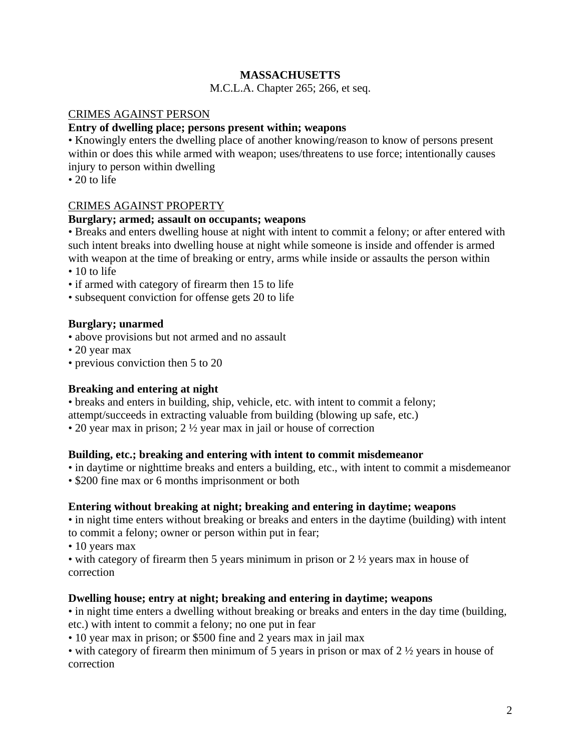# **MASSACHUSETTS**

M.C.L.A. Chapter 265; 266, et seq.

### CRIMES AGAINST PERSON

# **Entry of dwelling place; persons present within; weapons**

• Knowingly enters the dwelling place of another knowing/reason to know of persons present within or does this while armed with weapon; uses/threatens to use force; intentionally causes injury to person within dwelling

• 20 to life

### CRIMES AGAINST PROPERTY

### **Burglary; armed; assault on occupants; weapons**

• Breaks and enters dwelling house at night with intent to commit a felony; or after entered with such intent breaks into dwelling house at night while someone is inside and offender is armed with weapon at the time of breaking or entry, arms while inside or assaults the person within

- 10 to life
- if armed with category of firearm then 15 to life
- subsequent conviction for offense gets 20 to life

### **Burglary; unarmed**

- above provisions but not armed and no assault
- 20 year max
- previous conviction then 5 to 20

# **Breaking and entering at night**

• breaks and enters in building, ship, vehicle, etc. with intent to commit a felony; attempt/succeeds in extracting valuable from building (blowing up safe, etc.)

• 20 year max in prison; 2  $\frac{1}{2}$  year max in jail or house of correction

#### **Building, etc.; breaking and entering with intent to commit misdemeanor**

• in daytime or nighttime breaks and enters a building, etc., with intent to commit a misdemeanor

• \$200 fine max or 6 months imprisonment or both

#### **Entering without breaking at night; breaking and entering in daytime; weapons**

• in night time enters without breaking or breaks and enters in the daytime (building) with intent to commit a felony; owner or person within put in fear;

• 10 years max

• with category of firearm then 5 years minimum in prison or  $2 \frac{1}{2}$  years max in house of correction

#### **Dwelling house; entry at night; breaking and entering in daytime; weapons**

• in night time enters a dwelling without breaking or breaks and enters in the day time (building, etc.) with intent to commit a felony; no one put in fear

• 10 year max in prison; or \$500 fine and 2 years max in jail max

• with category of firearm then minimum of 5 years in prison or max of 2  $\frac{1}{2}$  years in house of correction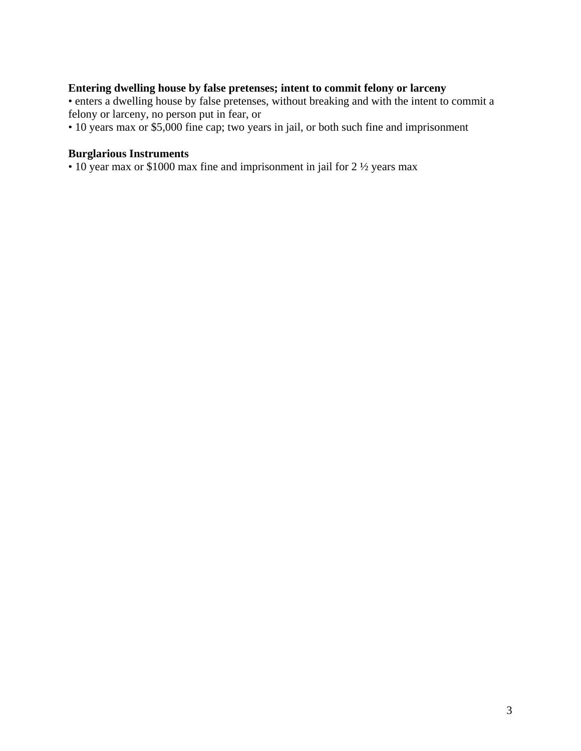#### **Entering dwelling house by false pretenses; intent to commit felony or larceny**

• enters a dwelling house by false pretenses, without breaking and with the intent to commit a felony or larceny, no person put in fear, or

• 10 years max or \$5,000 fine cap; two years in jail, or both such fine and imprisonment

# **Burglarious Instruments**

• 10 year max or \$1000 max fine and imprisonment in jail for 2 ½ years max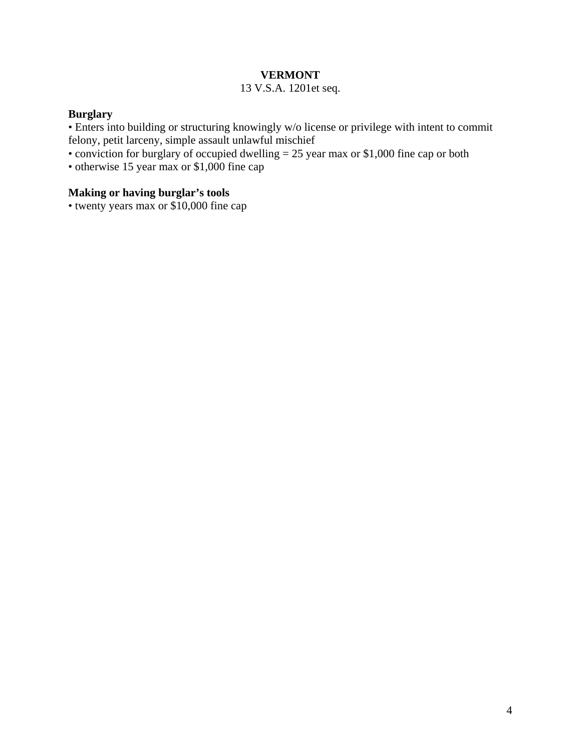# **VERMONT**

# 13 V.S.A. 1201et seq.

#### **Burglary**

• Enters into building or structuring knowingly w/o license or privilege with intent to commit felony, petit larceny, simple assault unlawful mischief

• conviction for burglary of occupied dwelling  $= 25$  year max or \$1,000 fine cap or both

• otherwise 15 year max or \$1,000 fine cap

# **Making or having burglar's tools**

• twenty years max or \$10,000 fine cap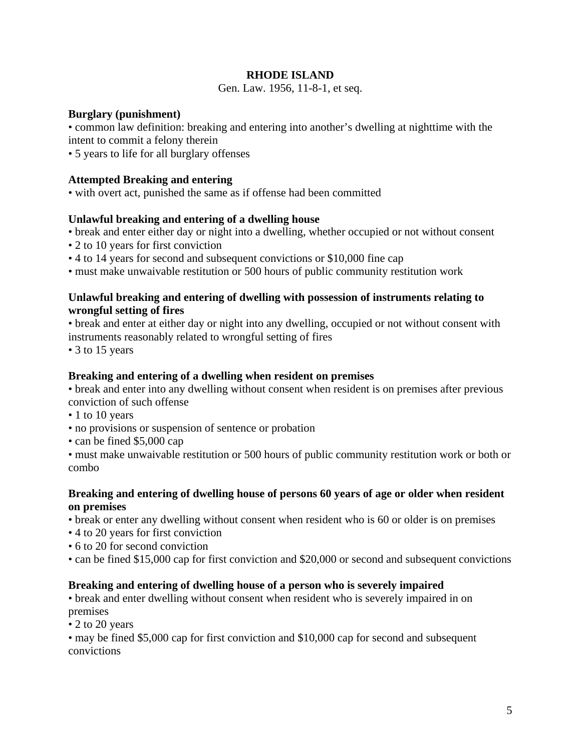# **RHODE ISLAND**

Gen. Law. 1956, 11-8-1, et seq.

## **Burglary (punishment)**

• common law definition: breaking and entering into another's dwelling at nighttime with the intent to commit a felony therein

• 5 years to life for all burglary offenses

## **Attempted Breaking and entering**

• with overt act, punished the same as if offense had been committed

### **Unlawful breaking and entering of a dwelling house**

- break and enter either day or night into a dwelling, whether occupied or not without consent
- 2 to 10 years for first conviction
- 4 to 14 years for second and subsequent convictions or \$10,000 fine cap
- must make unwaivable restitution or 500 hours of public community restitution work

### **Unlawful breaking and entering of dwelling with possession of instruments relating to wrongful setting of fires**

• break and enter at either day or night into any dwelling, occupied or not without consent with instruments reasonably related to wrongful setting of fires

• 3 to 15 years

#### **Breaking and entering of a dwelling when resident on premises**

• break and enter into any dwelling without consent when resident is on premises after previous conviction of such offense

- 1 to 10 years
- no provisions or suspension of sentence or probation
- can be fined \$5,000 cap

• must make unwaivable restitution or 500 hours of public community restitution work or both or combo

#### **Breaking and entering of dwelling house of persons 60 years of age or older when resident on premises**

- break or enter any dwelling without consent when resident who is 60 or older is on premises
- 4 to 20 years for first conviction
- 6 to 20 for second conviction
- can be fined \$15,000 cap for first conviction and \$20,000 or second and subsequent convictions

#### **Breaking and entering of dwelling house of a person who is severely impaired**

• break and enter dwelling without consent when resident who is severely impaired in on premises

• 2 to 20 years

• may be fined \$5,000 cap for first conviction and \$10,000 cap for second and subsequent convictions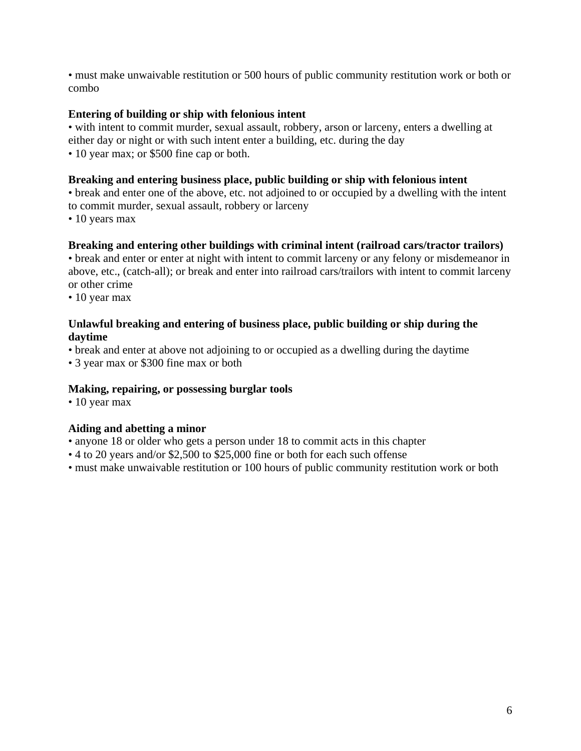• must make unwaivable restitution or 500 hours of public community restitution work or both or combo

# **Entering of building or ship with felonious intent**

• with intent to commit murder, sexual assault, robbery, arson or larceny, enters a dwelling at either day or night or with such intent enter a building, etc. during the day

• 10 year max; or \$500 fine cap or both.

## **Breaking and entering business place, public building or ship with felonious intent**

• break and enter one of the above, etc. not adjoined to or occupied by a dwelling with the intent to commit murder, sexual assault, robbery or larceny

• 10 years max

# **Breaking and entering other buildings with criminal intent (railroad cars/tractor trailors)**

• break and enter or enter at night with intent to commit larceny or any felony or misdemeanor in above, etc., (catch-all); or break and enter into railroad cars/trailors with intent to commit larceny or other crime

• 10 year max

# **Unlawful breaking and entering of business place, public building or ship during the daytime**

• break and enter at above not adjoining to or occupied as a dwelling during the daytime

• 3 year max or \$300 fine max or both

# **Making, repairing, or possessing burglar tools**

• 10 year max

# **Aiding and abetting a minor**

- anyone 18 or older who gets a person under 18 to commit acts in this chapter
- 4 to 20 years and/or \$2,500 to \$25,000 fine or both for each such offense
- must make unwaivable restitution or 100 hours of public community restitution work or both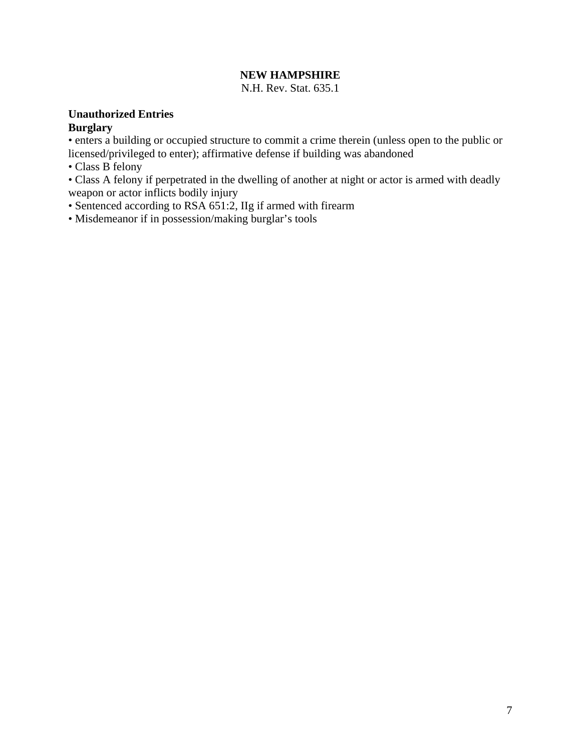# **NEW HAMPSHIRE**

N.H. Rev. Stat. 635.1

### **Unauthorized Entries Burglary**

• enters a building or occupied structure to commit a crime therein (unless open to the public or licensed/privileged to enter); affirmative defense if building was abandoned

• Class B felony

• Class A felony if perpetrated in the dwelling of another at night or actor is armed with deadly weapon or actor inflicts bodily injury

- Sentenced according to RSA 651:2, IIg if armed with firearm
- Misdemeanor if in possession/making burglar's tools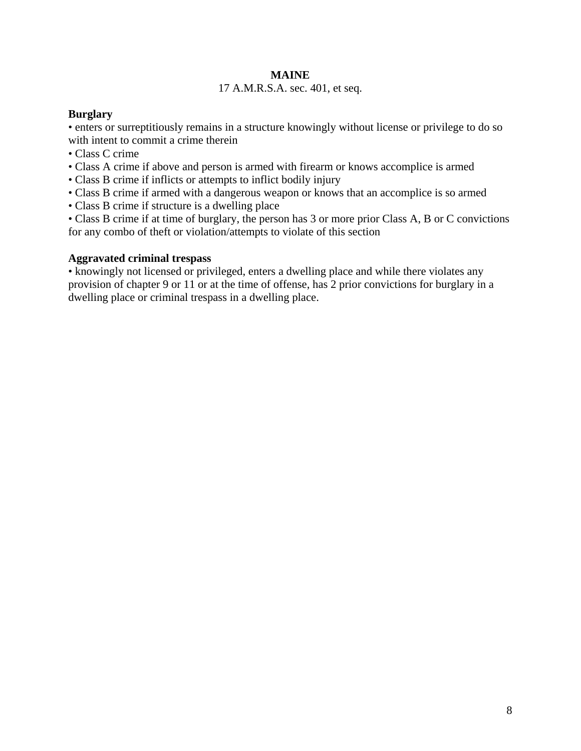### **MAINE**

#### 17 A.M.R.S.A. sec. 401, et seq.

#### **Burglary**

• enters or surreptitiously remains in a structure knowingly without license or privilege to do so with intent to commit a crime therein

- Class C crime
- Class A crime if above and person is armed with firearm or knows accomplice is armed
- Class B crime if inflicts or attempts to inflict bodily injury
- Class B crime if armed with a dangerous weapon or knows that an accomplice is so armed
- Class B crime if structure is a dwelling place

• Class B crime if at time of burglary, the person has 3 or more prior Class A, B or C convictions for any combo of theft or violation/attempts to violate of this section

### **Aggravated criminal trespass**

• knowingly not licensed or privileged, enters a dwelling place and while there violates any provision of chapter 9 or 11 or at the time of offense, has 2 prior convictions for burglary in a dwelling place or criminal trespass in a dwelling place.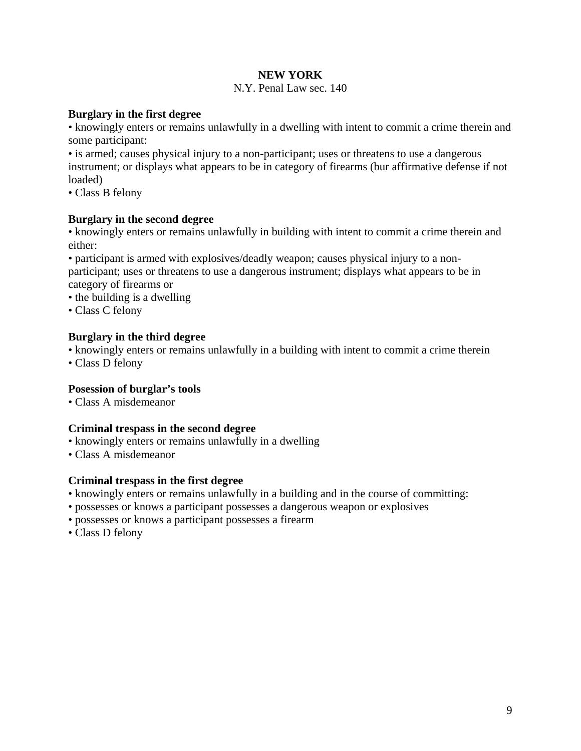# **NEW YORK**

#### N.Y. Penal Law sec. 140

# **Burglary in the first degree**

• knowingly enters or remains unlawfully in a dwelling with intent to commit a crime therein and some participant:

• is armed; causes physical injury to a non-participant; uses or threatens to use a dangerous instrument; or displays what appears to be in category of firearms (bur affirmative defense if not loaded)

• Class B felony

# **Burglary in the second degree**

• knowingly enters or remains unlawfully in building with intent to commit a crime therein and either:

• participant is armed with explosives/deadly weapon; causes physical injury to a nonparticipant; uses or threatens to use a dangerous instrument; displays what appears to be in category of firearms or

- the building is a dwelling
- Class C felony

# **Burglary in the third degree**

• knowingly enters or remains unlawfully in a building with intent to commit a crime therein

• Class D felony

# **Posession of burglar's tools**

• Class A misdemeanor

# **Criminal trespass in the second degree**

- knowingly enters or remains unlawfully in a dwelling
- Class A misdemeanor

# **Criminal trespass in the first degree**

- knowingly enters or remains unlawfully in a building and in the course of committing:
- possesses or knows a participant possesses a dangerous weapon or explosives
- possesses or knows a participant possesses a firearm
- Class D felony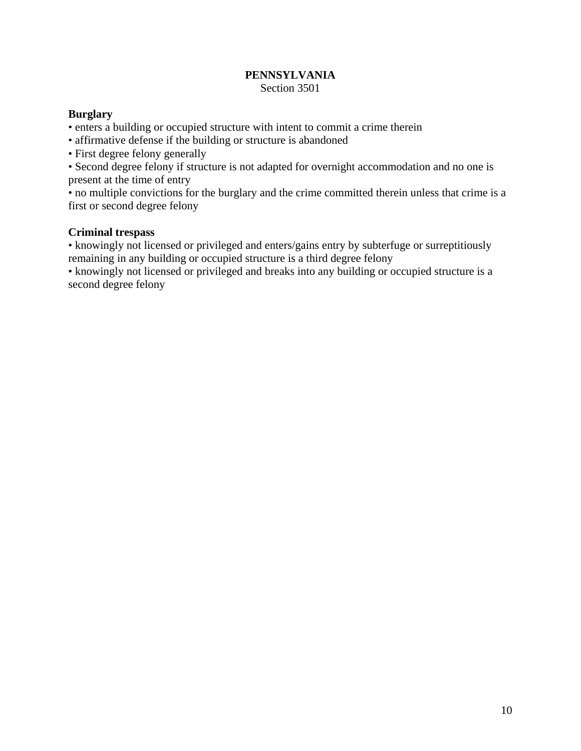### **PENNSYLVANIA**  Section 3501

# **Burglary**

- enters a building or occupied structure with intent to commit a crime therein
- affirmative defense if the building or structure is abandoned
- First degree felony generally

• Second degree felony if structure is not adapted for overnight accommodation and no one is present at the time of entry

• no multiple convictions for the burglary and the crime committed therein unless that crime is a first or second degree felony

# **Criminal trespass**

• knowingly not licensed or privileged and enters/gains entry by subterfuge or surreptitiously remaining in any building or occupied structure is a third degree felony

• knowingly not licensed or privileged and breaks into any building or occupied structure is a second degree felony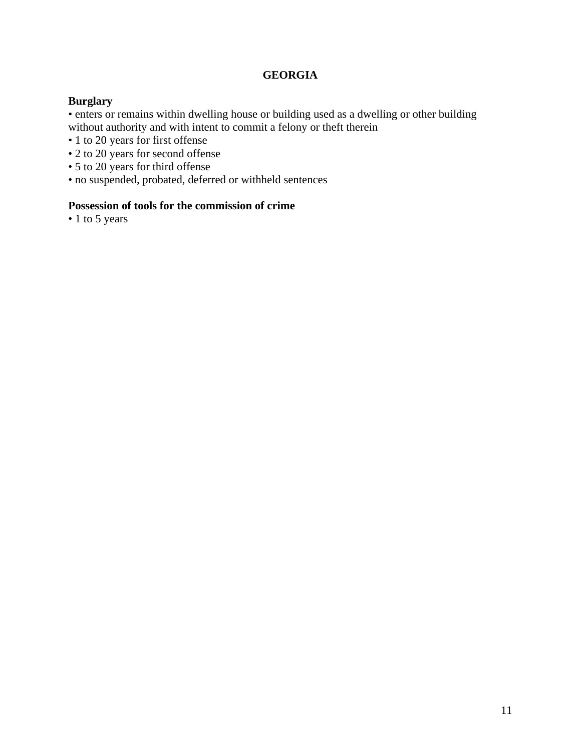# **GEORGIA**

### **Burglary**

• enters or remains within dwelling house or building used as a dwelling or other building without authority and with intent to commit a felony or theft therein

- 1 to 20 years for first offense
- 2 to 20 years for second offense
- 5 to 20 years for third offense
- no suspended, probated, deferred or withheld sentences

## **Possession of tools for the commission of crime**

• 1 to 5 years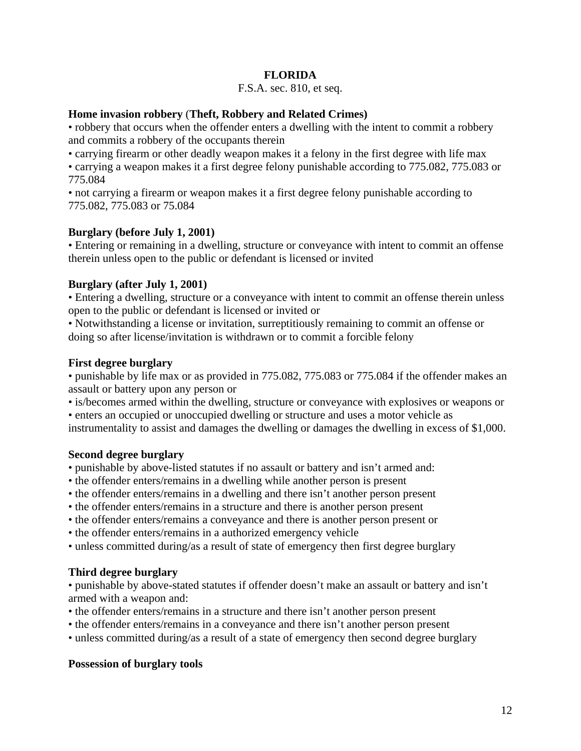# **FLORIDA**

#### F.S.A. sec. 810, et seq.

#### **Home invasion robbery** (**Theft, Robbery and Related Crimes)**

• robbery that occurs when the offender enters a dwelling with the intent to commit a robbery and commits a robbery of the occupants therein

• carrying firearm or other deadly weapon makes it a felony in the first degree with life max

• carrying a weapon makes it a first degree felony punishable according to 775.082, 775.083 or 775.084

• not carrying a firearm or weapon makes it a first degree felony punishable according to 775.082, 775.083 or 75.084

### **Burglary (before July 1, 2001)**

• Entering or remaining in a dwelling, structure or conveyance with intent to commit an offense therein unless open to the public or defendant is licensed or invited

### **Burglary (after July 1, 2001)**

• Entering a dwelling, structure or a conveyance with intent to commit an offense therein unless open to the public or defendant is licensed or invited or

• Notwithstanding a license or invitation, surreptitiously remaining to commit an offense or doing so after license/invitation is withdrawn or to commit a forcible felony

### **First degree burglary**

• punishable by life max or as provided in 775.082, 775.083 or 775.084 if the offender makes an assault or battery upon any person or

• is/becomes armed within the dwelling, structure or conveyance with explosives or weapons or

• enters an occupied or unoccupied dwelling or structure and uses a motor vehicle as instrumentality to assist and damages the dwelling or damages the dwelling in excess of \$1,000.

#### **Second degree burglary**

• punishable by above-listed statutes if no assault or battery and isn't armed and:

- the offender enters/remains in a dwelling while another person is present
- the offender enters/remains in a dwelling and there isn't another person present
- the offender enters/remains in a structure and there is another person present
- the offender enters/remains a conveyance and there is another person present or
- the offender enters/remains in a authorized emergency vehicle
- unless committed during/as a result of state of emergency then first degree burglary

#### **Third degree burglary**

• punishable by above-stated statutes if offender doesn't make an assault or battery and isn't armed with a weapon and:

- the offender enters/remains in a structure and there isn't another person present
- the offender enters/remains in a conveyance and there isn't another person present
- unless committed during/as a result of a state of emergency then second degree burglary

#### **Possession of burglary tools**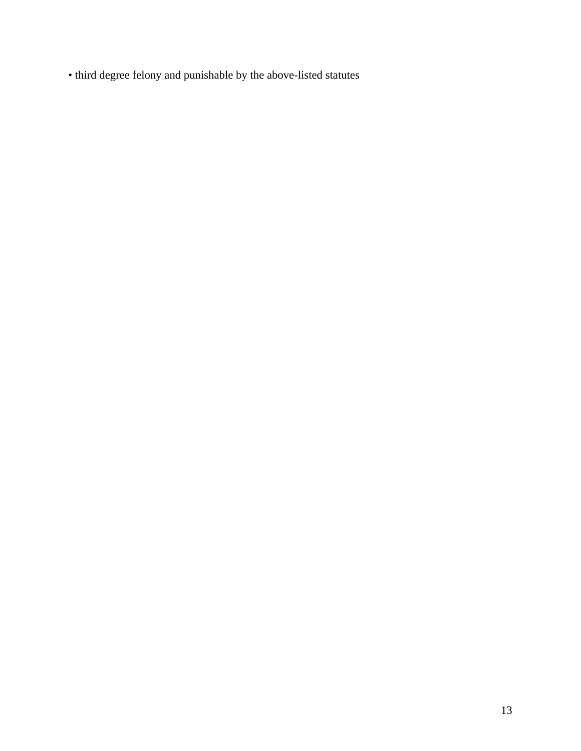• third degree felony and punishable by the above-listed statutes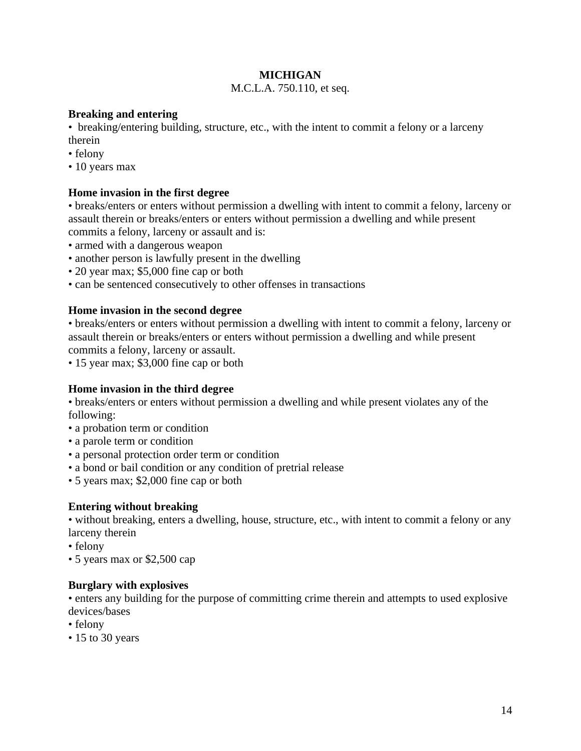# **MICHIGAN**

### M.C.L.A. 750.110, et seq.

## **Breaking and entering**

• breaking/entering building, structure, etc., with the intent to commit a felony or a larceny therein

- felony
- 10 years max

# **Home invasion in the first degree**

• breaks/enters or enters without permission a dwelling with intent to commit a felony, larceny or assault therein or breaks/enters or enters without permission a dwelling and while present commits a felony, larceny or assault and is:

- armed with a dangerous weapon
- another person is lawfully present in the dwelling
- 20 year max; \$5,000 fine cap or both
- can be sentenced consecutively to other offenses in transactions

### **Home invasion in the second degree**

• breaks/enters or enters without permission a dwelling with intent to commit a felony, larceny or assault therein or breaks/enters or enters without permission a dwelling and while present commits a felony, larceny or assault.

• 15 year max; \$3,000 fine cap or both

# **Home invasion in the third degree**

• breaks/enters or enters without permission a dwelling and while present violates any of the following:

- a probation term or condition
- a parole term or condition
- a personal protection order term or condition
- a bond or bail condition or any condition of pretrial release
- 5 years max; \$2,000 fine cap or both

# **Entering without breaking**

• without breaking, enters a dwelling, house, structure, etc., with intent to commit a felony or any larceny therein

- felony
- 5 years max or \$2,500 cap

# **Burglary with explosives**

• enters any building for the purpose of committing crime therein and attempts to used explosive devices/bases

- felony
- 15 to 30 years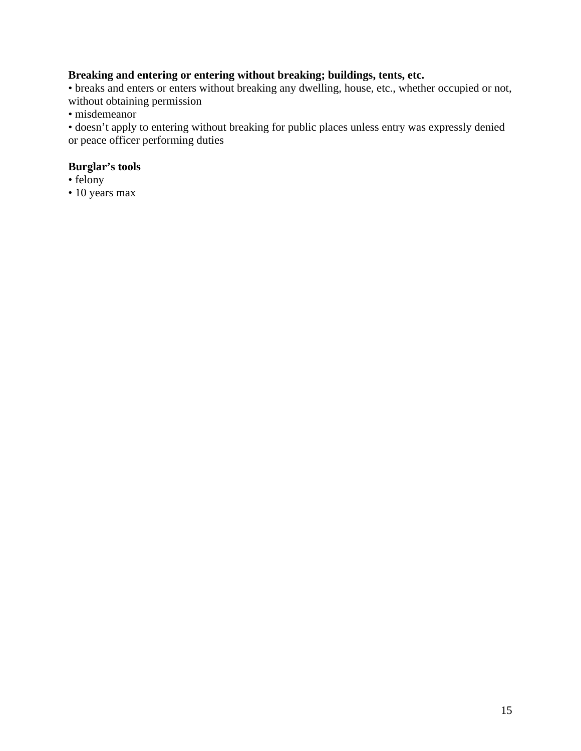# **Breaking and entering or entering without breaking; buildings, tents, etc.**

• breaks and enters or enters without breaking any dwelling, house, etc., whether occupied or not, without obtaining permission

• misdemeanor

• doesn't apply to entering without breaking for public places unless entry was expressly denied or peace officer performing duties

# **Burglar's tools**

- felony
- 10 years max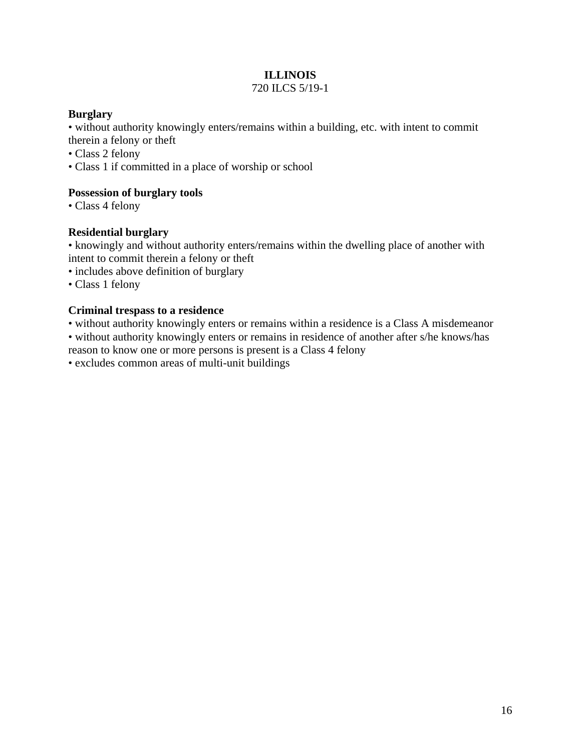# **ILLINOIS**

### 720 ILCS 5/19-1

# **Burglary**

• without authority knowingly enters/remains within a building, etc. with intent to commit therein a felony or theft

- Class 2 felony
- Class 1 if committed in a place of worship or school

# **Possession of burglary tools**

• Class 4 felony

# **Residential burglary**

• knowingly and without authority enters/remains within the dwelling place of another with intent to commit therein a felony or theft

- includes above definition of burglary
- Class 1 felony

# **Criminal trespass to a residence**

• without authority knowingly enters or remains within a residence is a Class A misdemeanor • without authority knowingly enters or remains in residence of another after s/he knows/has reason to know one or more persons is present is a Class 4 felony

• excludes common areas of multi-unit buildings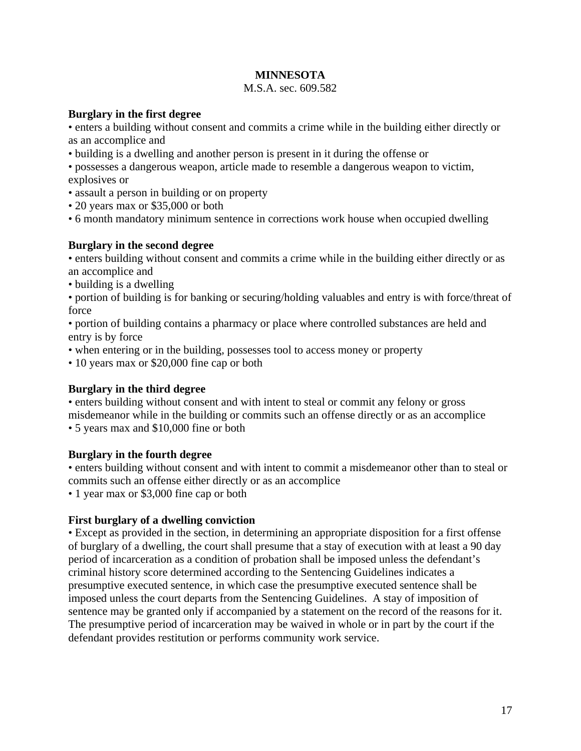# **MINNESOTA**

#### M.S.A. sec. 609.582

## **Burglary in the first degree**

• enters a building without consent and commits a crime while in the building either directly or as an accomplice and

• building is a dwelling and another person is present in it during the offense or

• possesses a dangerous weapon, article made to resemble a dangerous weapon to victim, explosives or

- assault a person in building or on property
- 20 years max or \$35,000 or both
- 6 month mandatory minimum sentence in corrections work house when occupied dwelling

### **Burglary in the second degree**

• enters building without consent and commits a crime while in the building either directly or as an accomplice and

• building is a dwelling

• portion of building is for banking or securing/holding valuables and entry is with force/threat of force

• portion of building contains a pharmacy or place where controlled substances are held and entry is by force

• when entering or in the building, possesses tool to access money or property

• 10 years max or \$20,000 fine cap or both

# **Burglary in the third degree**

• enters building without consent and with intent to steal or commit any felony or gross misdemeanor while in the building or commits such an offense directly or as an accomplice • 5 years max and \$10,000 fine or both

# **Burglary in the fourth degree**

• enters building without consent and with intent to commit a misdemeanor other than to steal or commits such an offense either directly or as an accomplice

• 1 year max or \$3,000 fine cap or both

# **First burglary of a dwelling conviction**

• Except as provided in the section, in determining an appropriate disposition for a first offense of burglary of a dwelling, the court shall presume that a stay of execution with at least a 90 day period of incarceration as a condition of probation shall be imposed unless the defendant's criminal history score determined according to the Sentencing Guidelines indicates a presumptive executed sentence, in which case the presumptive executed sentence shall be imposed unless the court departs from the Sentencing Guidelines. A stay of imposition of sentence may be granted only if accompanied by a statement on the record of the reasons for it. The presumptive period of incarceration may be waived in whole or in part by the court if the defendant provides restitution or performs community work service.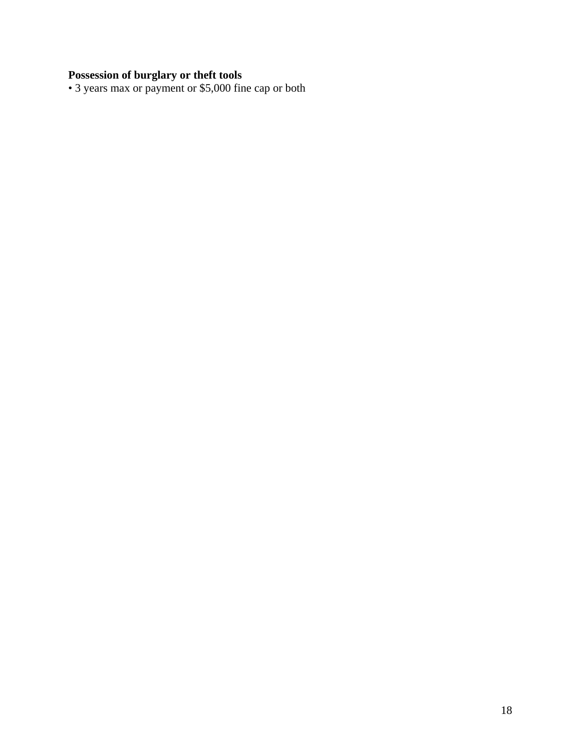#### **Possession of burglary or theft tools**

• 3 years max or payment or \$5,000 fine cap or both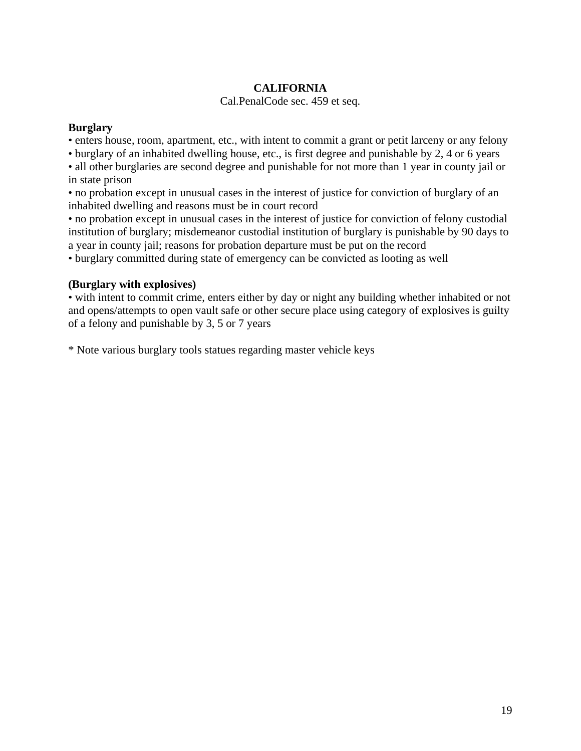# **CALIFORNIA**

### Cal.PenalCode sec. 459 et seq.

#### **Burglary**

• enters house, room, apartment, etc., with intent to commit a grant or petit larceny or any felony

• burglary of an inhabited dwelling house, etc., is first degree and punishable by 2, 4 or 6 years

• all other burglaries are second degree and punishable for not more than 1 year in county jail or in state prison

• no probation except in unusual cases in the interest of justice for conviction of burglary of an inhabited dwelling and reasons must be in court record

• no probation except in unusual cases in the interest of justice for conviction of felony custodial institution of burglary; misdemeanor custodial institution of burglary is punishable by 90 days to a year in county jail; reasons for probation departure must be put on the record

• burglary committed during state of emergency can be convicted as looting as well

# **(Burglary with explosives)**

• with intent to commit crime, enters either by day or night any building whether inhabited or not and opens/attempts to open vault safe or other secure place using category of explosives is guilty of a felony and punishable by 3, 5 or 7 years

\* Note various burglary tools statues regarding master vehicle keys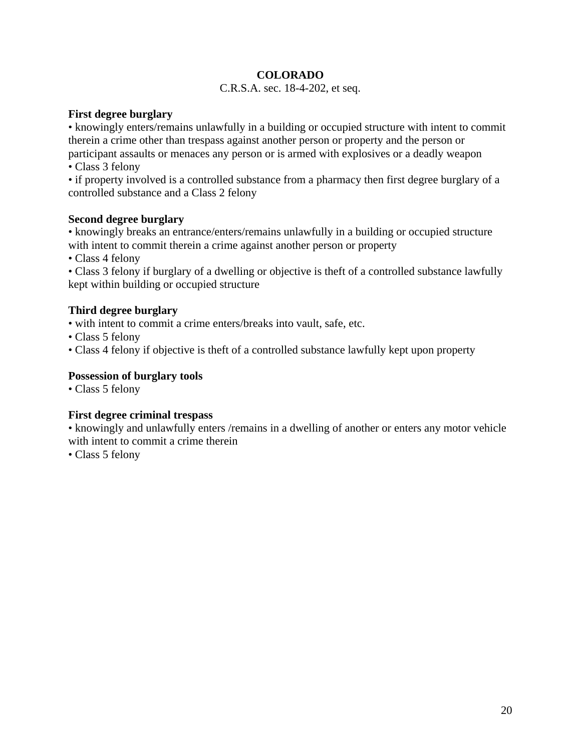# **COLORADO**

#### C.R.S.A. sec. 18-4-202, et seq.

### **First degree burglary**

• knowingly enters/remains unlawfully in a building or occupied structure with intent to commit therein a crime other than trespass against another person or property and the person or participant assaults or menaces any person or is armed with explosives or a deadly weapon

• Class 3 felony

• if property involved is a controlled substance from a pharmacy then first degree burglary of a controlled substance and a Class 2 felony

#### **Second degree burglary**

• knowingly breaks an entrance/enters/remains unlawfully in a building or occupied structure with intent to commit therein a crime against another person or property

• Class 4 felony

• Class 3 felony if burglary of a dwelling or objective is theft of a controlled substance lawfully kept within building or occupied structure

# **Third degree burglary**

• with intent to commit a crime enters/breaks into vault, safe, etc.

• Class 5 felony

• Class 4 felony if objective is theft of a controlled substance lawfully kept upon property

#### **Possession of burglary tools**

• Class 5 felony

#### **First degree criminal trespass**

• knowingly and unlawfully enters /remains in a dwelling of another or enters any motor vehicle with intent to commit a crime therein

• Class 5 felony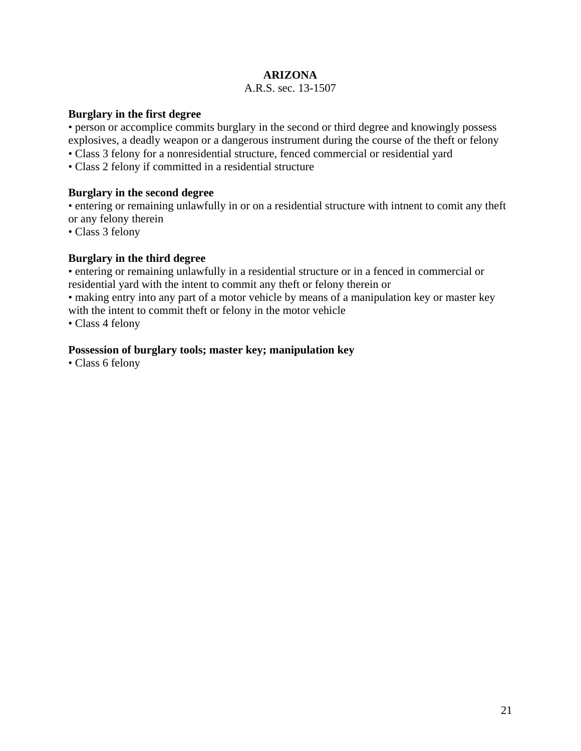# **ARIZONA**

#### A.R.S. sec. 13-1507

### **Burglary in the first degree**

• person or accomplice commits burglary in the second or third degree and knowingly possess explosives, a deadly weapon or a dangerous instrument during the course of the theft or felony

- Class 3 felony for a nonresidential structure, fenced commercial or residential yard
- Class 2 felony if committed in a residential structure

### **Burglary in the second degree**

• entering or remaining unlawfully in or on a residential structure with intnent to comit any theft or any felony therein

• Class 3 felony

# **Burglary in the third degree**

• entering or remaining unlawfully in a residential structure or in a fenced in commercial or residential yard with the intent to commit any theft or felony therein or

• making entry into any part of a motor vehicle by means of a manipulation key or master key with the intent to commit theft or felony in the motor vehicle

• Class 4 felony

### **Possession of burglary tools; master key; manipulation key**

• Class 6 felony